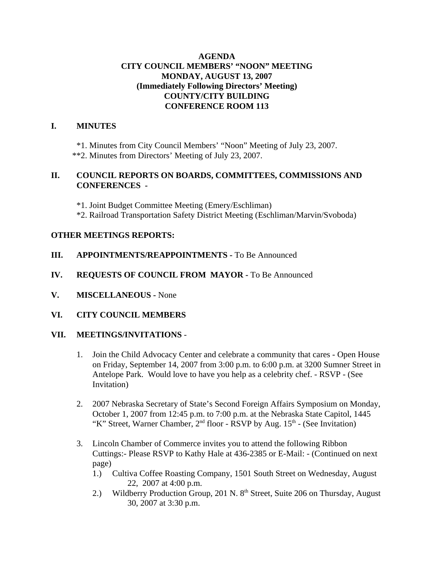# **AGENDA CITY COUNCIL MEMBERS' "NOON" MEETING MONDAY, AUGUST 13, 2007 (Immediately Following Directors' Meeting) COUNTY/CITY BUILDING CONFERENCE ROOM 113**

#### **I. MINUTES**

\*1. Minutes from City Council Members' "Noon" Meeting of July 23, 2007. \*\*2. Minutes from Directors' Meeting of July 23, 2007.

#### **II. COUNCIL REPORTS ON BOARDS, COMMITTEES, COMMISSIONS AND CONFERENCES -**

\*1. Joint Budget Committee Meeting (Emery/Eschliman)

\*2. Railroad Transportation Safety District Meeting (Eschliman/Marvin/Svoboda)

#### **OTHER MEETINGS REPORTS:**

# **III.** APPOINTMENTS/REAPPOINTMENTS - To Be Announced

- **IV. REQUESTS OF COUNCIL FROM MAYOR -** To Be Announced
- **V. MISCELLANEOUS -** None

# **VI. CITY COUNCIL MEMBERS**

# **VII. MEETINGS/INVITATIONS** -

- 1. Join the Child Advocacy Center and celebrate a community that cares Open House on Friday, September 14, 2007 from 3:00 p.m. to 6:00 p.m. at 3200 Sumner Street in Antelope Park. Would love to have you help as a celebrity chef. - RSVP - (See Invitation)
- 2. 2007 Nebraska Secretary of State's Second Foreign Affairs Symposium on Monday, October 1, 2007 from 12:45 p.m. to 7:00 p.m. at the Nebraska State Capitol, 1445 "K" Street, Warner Chamber,  $2<sup>nd</sup>$  floor - RSVP by Aug.  $15<sup>th</sup>$  - (See Invitation)
- 3. Lincoln Chamber of Commerce invites you to attend the following Ribbon Cuttings:- Please RSVP to Kathy Hale at 436-2385 or E-Mail: - (Continued on next page)
	- 1.) Cultiva Coffee Roasting Company, 1501 South Street on Wednesday, August 22, 2007 at 4:00 p.m.
	- 2.) Wildberry Production Group, 201 N. 8<sup>th</sup> Street, Suite 206 on Thursday, August 30, 2007 at 3:30 p.m.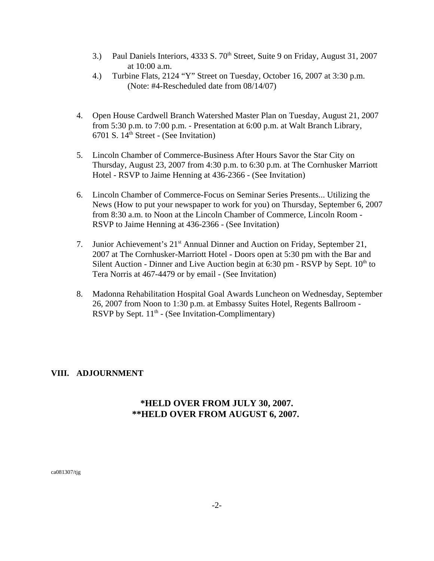- 3.) Paul Daniels Interiors, 4333 S. 70<sup>th</sup> Street, Suite 9 on Friday, August 31, 2007 at 10:00 a.m.
- 4.) Turbine Flats, 2124 "Y" Street on Tuesday, October 16, 2007 at 3:30 p.m. (Note: #4-Rescheduled date from 08/14/07)
- 4. Open House Cardwell Branch Watershed Master Plan on Tuesday, August 21, 2007 from 5:30 p.m. to 7:00 p.m. - Presentation at 6:00 p.m. at Walt Branch Library, 6701 S. 14th Street - (See Invitation)
- 5. Lincoln Chamber of Commerce-Business After Hours Savor the Star City on Thursday, August 23, 2007 from 4:30 p.m. to 6:30 p.m. at The Cornhusker Marriott Hotel - RSVP to Jaime Henning at 436-2366 - (See Invitation)
- 6. Lincoln Chamber of Commerce-Focus on Seminar Series Presents... Utilizing the News (How to put your newspaper to work for you) on Thursday, September 6, 2007 from 8:30 a.m. to Noon at the Lincoln Chamber of Commerce, Lincoln Room - RSVP to Jaime Henning at 436-2366 - (See Invitation)
- 7. Junior Achievement's 21<sup>st</sup> Annual Dinner and Auction on Friday, September 21, 2007 at The Cornhusker-Marriott Hotel - Doors open at 5:30 pm with the Bar and Silent Auction - Dinner and Live Auction begin at 6:30 pm - RSVP by Sept.  $10<sup>th</sup>$  to Tera Norris at 467-4479 or by email - (See Invitation)
- 8. Madonna Rehabilitation Hospital Goal Awards Luncheon on Wednesday, September 26, 2007 from Noon to 1:30 p.m. at Embassy Suites Hotel, Regents Ballroom - RSVP by Sept.  $11<sup>th</sup>$  - (See Invitation-Complimentary)

# **VIII. ADJOURNMENT**

# **\*HELD OVER FROM JULY 30, 2007. \*\*HELD OVER FROM AUGUST 6, 2007.**

ca081307/tjg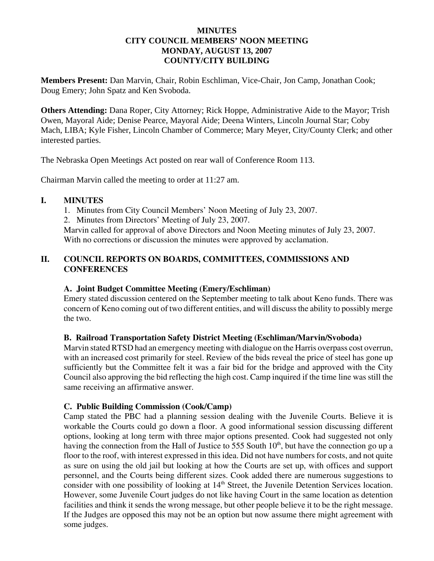### **MINUTES CITY COUNCIL MEMBERS' NOON MEETING MONDAY, AUGUST 13, 2007 COUNTY/CITY BUILDING**

**Members Present:** Dan Marvin, Chair, Robin Eschliman, Vice-Chair, Jon Camp, Jonathan Cook; Doug Emery; John Spatz and Ken Svoboda.

**Others Attending:** Dana Roper, City Attorney; Rick Hoppe, Administrative Aide to the Mayor; Trish Owen, Mayoral Aide; Denise Pearce, Mayoral Aide; Deena Winters, Lincoln Journal Star; Coby Mach, LIBA; Kyle Fisher, Lincoln Chamber of Commerce; Mary Meyer, City/County Clerk; and other interested parties.

The Nebraska Open Meetings Act posted on rear wall of Conference Room 113.

Chairman Marvin called the meeting to order at 11:27 am.

#### **I. MINUTES**

1. Minutes from City Council Members' Noon Meeting of July 23, 2007.

2. Minutes from Directors' Meeting of July 23, 2007.

Marvin called for approval of above Directors and Noon Meeting minutes of July 23, 2007. With no corrections or discussion the minutes were approved by acclamation.

# **II. COUNCIL REPORTS ON BOARDS, COMMITTEES, COMMISSIONS AND CONFERENCES**

# **A. Joint Budget Committee Meeting (Emery/Eschliman)**

Emery stated discussion centered on the September meeting to talk about Keno funds. There was concern of Keno coming out of two different entities, and will discuss the ability to possibly merge the two.

# **B. Railroad Transportation Safety District Meeting (Eschliman/Marvin/Svoboda)**

Marvin stated RTSD had an emergency meeting with dialogue on the Harris overpass cost overrun, with an increased cost primarily for steel. Review of the bids reveal the price of steel has gone up sufficiently but the Committee felt it was a fair bid for the bridge and approved with the City Council also approving the bid reflecting the high cost. Camp inquired if the time line was still the same receiving an affirmative answer.

# **C. Public Building Commission (Cook/Camp)**

Camp stated the PBC had a planning session dealing with the Juvenile Courts. Believe it is workable the Courts could go down a floor. A good informational session discussing different options, looking at long term with three major options presented. Cook had suggested not only having the connection from the Hall of Justice to 555 South  $10<sup>th</sup>$ , but have the connection go up a floor to the roof, with interest expressed in this idea. Did not have numbers for costs, and not quite as sure on using the old jail but looking at how the Courts are set up, with offices and support personnel, and the Courts being different sizes. Cook added there are numerous suggestions to consider with one possibility of looking at 14<sup>th</sup> Street, the Juvenile Detention Services location. However, some Juvenile Court judges do not like having Court in the same location as detention facilities and think it sends the wrong message, but other people believe it to be the right message. If the Judges are opposed this may not be an option but now assume there might agreement with some judges.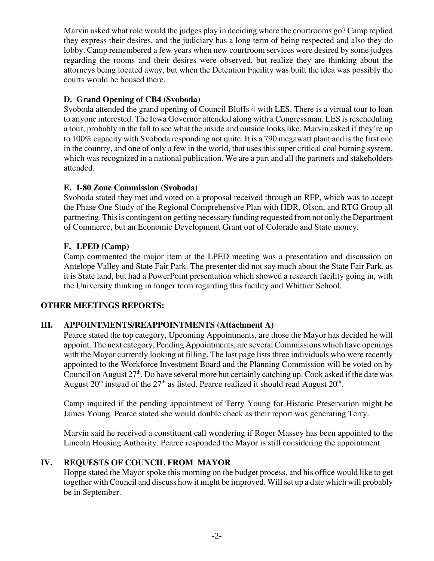Marvin asked what role would the judges play in deciding where the courtrooms go? Camp replied they express their desires, and the judiciary has a long term of being respected and also they do lobby. Camp remembered a few years when new courtroom services were desired by some judges regarding the rooms and their desires were observed, but realize they are thinking about the attorneys being located away, but when the Detention Facility was built the idea was possibly the courts would be housed there.

# **D. Grand Opening of CB4 (Svoboda)**

Svoboda attended the grand opening of Council Bluffs 4 with LES. There is a virtual tour to loan to anyone interested. The Iowa Governor attended along with a Congressman. LES is rescheduling a tour, probably in the fall to see what the inside and outside looks like. Marvin asked if they're up to 100% capacity with Svoboda responding not quite. It is a 790 megawatt plant and is the first one in the country, and one of only a few in the world, that uses this super critical coal burning system, which was recognized in a national publication. We are a part and all the partners and stakeholders attended.

# **E. I-80 Zone Commission (Svoboda)**

Svoboda stated they met and voted on a proposal received through an RFP, which was to accept the Phase One Study of the Regional Comprehensive Plan with HDR, Olson, and RTG Group all partnering. This is contingent on getting necessary funding requested from not only the Department of Commerce, but an Economic Development Grant out of Colorado and State money.

# **F. LPED (Camp)**

Camp commented the major item at the LPED meeting was a presentation and discussion on Antelope Valley and State Fair Park. The presenter did not say much about the State Fair Park, as it is State land, but had a PowerPoint presentation which showed a research facility going in, with the University thinking in longer term regarding this facility and Whittier School.

# **OTHER MEETINGS REPORTS:**

# **III. APPOINTMENTS/REAPPOINTMENTS (Attachment A)**

Pearce stated the top category, Upcoming Appointments, are those the Mayor has decided he will appoint. The next category, Pending Appointments, are several Commissions which have openings with the Mayor currently looking at filling. The last page lists three individuals who were recently appointed to the Workforce Investment Board and the Planning Commission will be voted on by Council on August  $27<sup>th</sup>$ . Do have several more but certainly catching up. Cook asked if the date was August  $20<sup>th</sup>$  instead of the  $27<sup>th</sup>$  as listed. Pearce realized it should read August  $20<sup>th</sup>$ .

Camp inquired if the pending appointment of Terry Young for Historic Preservation might be James Young. Pearce stated she would double check as their report was generating Terry.

Marvin said he received a constituent call wondering if Roger Massey has been appointed to the Lincoln Housing Authority. Pearce responded the Mayor is still considering the appointment.

# **IV. REQUESTS OF COUNCIL FROM MAYOR**

Hoppe stated the Mayor spoke this morning on the budget process, and his office would like to get together with Council and discuss how it might be improved. Will set up a date which will probably be in September.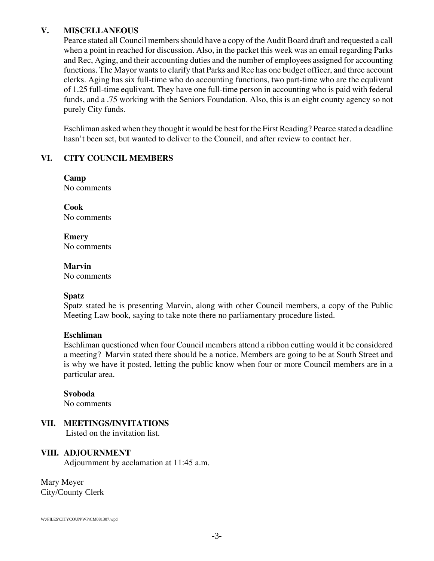### **V. MISCELLANEOUS**

Pearce stated all Council members should have a copy of the Audit Board draft and requested a call when a point in reached for discussion. Also, in the packet this week was an email regarding Parks and Rec, Aging, and their accounting duties and the number of employees assigned for accounting functions. The Mayor wants to clarify that Parks and Rec has one budget officer, and three account clerks. Aging has six full-time who do accounting functions, two part-time who are the equlivant of 1.25 full-time equlivant. They have one full-time person in accounting who is paid with federal funds, and a .75 working with the Seniors Foundation. Also, this is an eight county agency so not purely City funds.

Eschliman asked when they thought it would be best for the First Reading? Pearce stated a deadline hasn't been set, but wanted to deliver to the Council, and after review to contact her.

# **VI. CITY COUNCIL MEMBERS**

**Camp**  No comments

**Cook** No comments

**Emery** No comments

**Marvin**

No comments

#### **Spatz**

Spatz stated he is presenting Marvin, along with other Council members, a copy of the Public Meeting Law book, saying to take note there no parliamentary procedure listed.

# **Eschliman**

Eschliman questioned when four Council members attend a ribbon cutting would it be considered a meeting? Marvin stated there should be a notice. Members are going to be at South Street and is why we have it posted, letting the public know when four or more Council members are in a particular area.

#### **Svoboda**

No comments

# **VII. MEETINGS/INVITATIONS**

Listed on the invitation list.

#### **VIII. ADJOURNMENT**

Adjournment by acclamation at 11:45 a.m.

Mary Meyer City/County Clerk

W:\FILES\CITYCOUN\WP\CM081307.wpd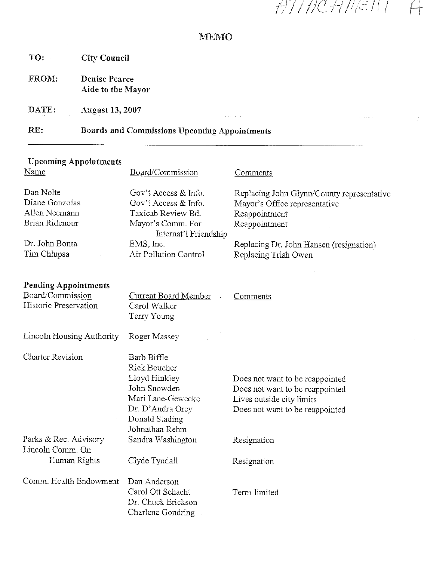HTTHCHMENT

a marana

الداري المتحدث

Ť

# **MEMO**

TO: **City Council** 

FROM: **Denise Pearce** Aide to the Mayor

DATE: **August 13, 2007** 

RE: **Boards and Commissions Upcoming Appointments** 

# **Upcoming Appointments**

| Name                                      | Board/Commission                                             | <b>Comments</b>                            |
|-------------------------------------------|--------------------------------------------------------------|--------------------------------------------|
| Dan Nolte                                 | Gov't Access & Info.                                         | Replacing John Glynn/County representative |
| Diane Gonzolas                            | Gov't Access & Info.                                         | Mayor's Office representative              |
| Allen Neemann                             | Taxicab Review Bd.                                           | Reappointment                              |
| Brian Ridenour                            | Mayor's Comm. For<br>Internat'l Friendship                   | Reappointment                              |
| Dr. John Bonta                            | EMS, Inc.                                                    | Replacing Dr. John Hansen (resignation)    |
| Tim Chlupsa                               | Air Pollution Control                                        | Replacing Trish Owen                       |
| <b>Pending Appointments</b>               |                                                              |                                            |
| Board/Commission                          | <b>Current Board Member</b>                                  | Comments                                   |
| Historic Preservation                     | Carol Walker<br>Terry Young                                  |                                            |
| Lincoln Housing Authority                 | Roger Massey                                                 |                                            |
| <b>Charter Revision</b>                   | Barb Biffle                                                  |                                            |
|                                           | Rick Boucher                                                 |                                            |
|                                           | Lloyd Hinkley                                                | Does not want to be reappointed            |
|                                           | John Snowden                                                 | Does not want to be reappointed            |
|                                           | Mari Lane-Gewecke                                            | Lives outside city limits                  |
|                                           | Dr. D'Andra Orey<br>Donald Stading<br>Johnathan Rehm         | Does not want to be reappointed            |
| Parks & Rec. Advisory<br>Lincoln Comm. On | Sandra Washington                                            | Resignation                                |
| Human Rights                              | Clyde Tyndall                                                | Resignation                                |
| Comm. Health Endowment                    | Dan Anderson                                                 |                                            |
|                                           | Carol Ott Schacht<br>Dr. Chuck Erickson<br>Charlene Gondring | Term-limited                               |